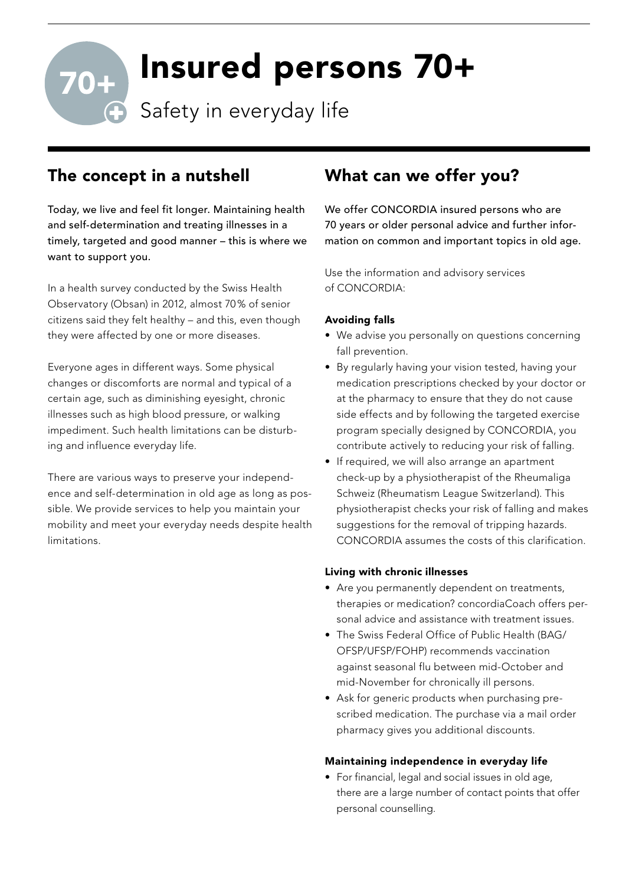# Insured persons 70+

**Safety in everyday life** 

## The concept in a nutshell

Today, we live and feel fit longer. Maintaining health and self-determination and treating illnesses in a timely, targeted and good manner – this is where we want to support you.

In a health survey conducted by the Swiss Health Observatory (Obsan) in 2012, almost 70 % of senior citizens said they felt healthy – and this, even though they were affected by one or more diseases.

Everyone ages in different ways. Some physical changes or discomforts are normal and typical of a certain age, such as diminishing eyesight, chronic illnesses such as high blood pressure, or walking impediment. Such health limitations can be disturbing and influence everyday life.

There are various ways to preserve your independence and self-determination in old age as long as possible. We provide services to help you maintain your mobility and meet your everyday needs despite health limitations.

## What can we offer you?

We offer CONCORDIA insured persons who are 70 years or older personal advice and further information on common and important topics in old age.

Use the information and advisory services of CONCORDIA:

#### Avoiding falls

- We advise you personally on questions concerning fall prevention.
- By regularly having your vision tested, having your medication prescriptions checked by your doctor or at the pharmacy to ensure that they do not cause side effects and by following the targeted exercise program specially designed by CONCORDIA, you contribute actively to reducing your risk of falling.
- If required, we will also arrange an apartment check-up by a physiotherapist of the Rheumaliga Schweiz (Rheumatism League Switzerland). This physiotherapist checks your risk of falling and makes suggestions for the removal of tripping hazards. CONCORDIA assumes the costs of this clarification.

#### Living with chronic illnesses

- Are you permanently dependent on treatments, therapies or medication? concordiaCoach offers personal advice and assistance with treatment issues.
- The Swiss Federal Office of Public Health (BAG/ OFSP/UFSP/FOHP) recommends vaccination against seasonal flu between mid-October and mid-November for chronically ill persons.
- Ask for generic products when purchasing prescribed medication. The purchase via a mail order pharmacy gives you additional discounts.

#### Maintaining independence in everyday life

• For financial, legal and social issues in old age, there are a large number of contact points that offer personal counselling.